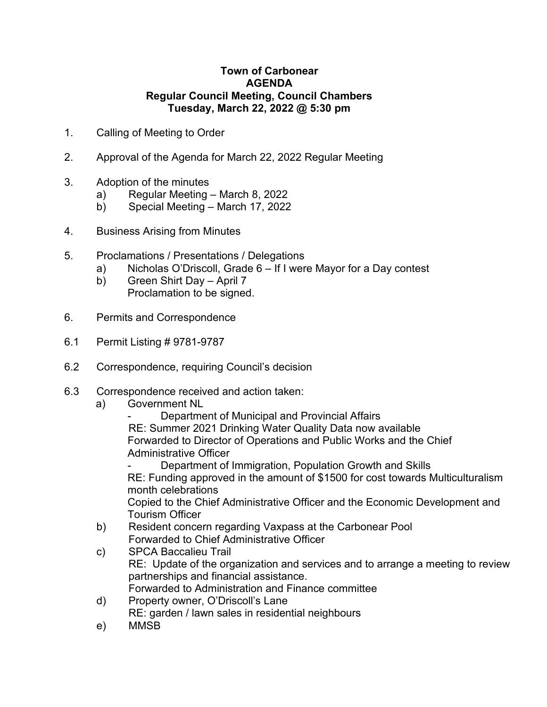## **Town of Carbonear AGENDA Regular Council Meeting, Council Chambers Tuesday, March 22, 2022 @ 5:30 pm**

- 1. Calling of Meeting to Order
- 2. Approval of the Agenda for March 22, 2022 Regular Meeting
- 3. Adoption of the minutes
	- a) Regular Meeting March 8, 2022
	- b) Special Meeting March 17, 2022
- 4. Business Arising from Minutes
- 5. Proclamations / Presentations / Delegations
	- a) Nicholas O'Driscoll, Grade 6 If I were Mayor for a Day contest
	- b) Green Shirt Day April 7 Proclamation to be signed.
- 6. Permits and Correspondence
- 6.1 Permit Listing # 9781-9787
- 6.2 Correspondence, requiring Council's decision
- 6.3 Correspondence received and action taken:
	- a) Government NL
		- Department of Municipal and Provincial Affairs RE: Summer 2021 Drinking Water Quality Data now available Forwarded to Director of Operations and Public Works and the Chief Administrative Officer

Department of Immigration, Population Growth and Skills RE: Funding approved in the amount of \$1500 for cost towards Multiculturalism month celebrations Copied to the Chief Administrative Officer and the Economic Development and Tourism Officer

- b) Resident concern regarding Vaxpass at the Carbonear Pool Forwarded to Chief Administrative Officer
- c) SPCA Baccalieu Trail RE: Update of the organization and services and to arrange a meeting to review partnerships and financial assistance. Forwarded to Administration and Finance committee
- d) Property owner, O'Driscoll's Lane RE: garden / lawn sales in residential neighbours
- e) MMSB